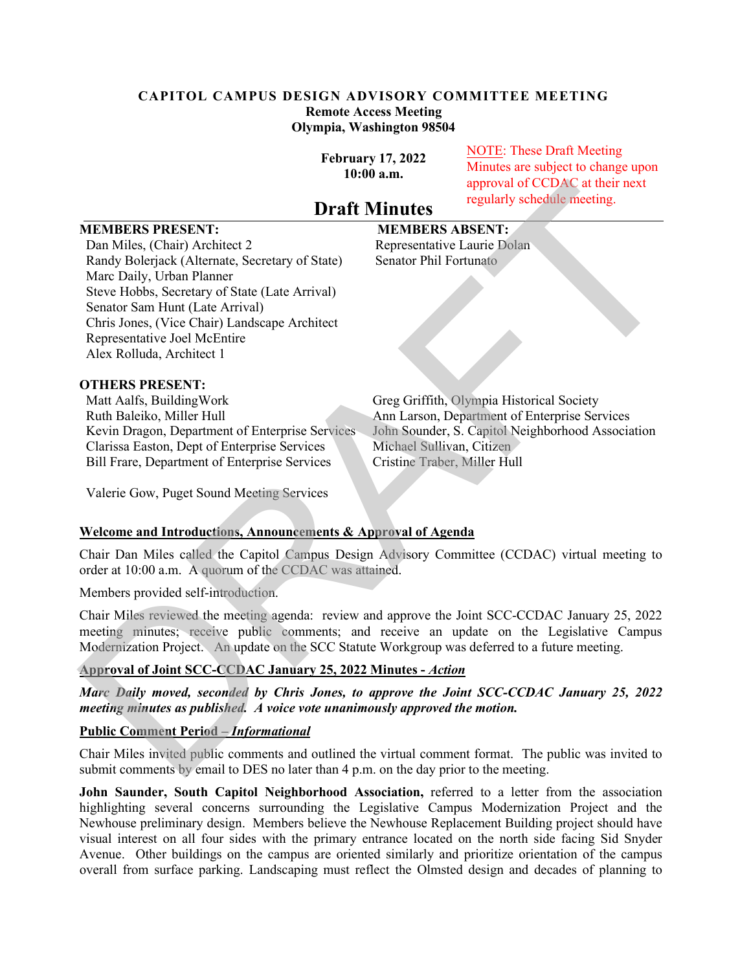## **CAPITOL CAMPUS DESIGN ADVISORY COMMITTEE MEETING Remote Access Meeting Olympia, Washington 98504**

**February 17, 2022 10:00 a.m.**

NOTE: These Draft Meeting Minutes are subject to change upon approval of CCDAC at their next regularly schedule meeting.

# **Draft Minutes**

# **MEMBERS PRESENT: MEMBERS ABSENT:**

Dan Miles, (Chair) Architect 2 Representative Laurie Dolan Randy Bolerjack (Alternate, Secretary of State) Senator Phil Fortunato Marc Daily, Urban Planner Steve Hobbs, Secretary of State (Late Arrival) Senator Sam Hunt (Late Arrival) Chris Jones, (Vice Chair) Landscape Architect Representative Joel McEntire Alex Rolluda, Architect 1 **INENIBERS PRESENT:**<br> **Draft Minutes** regularly schedula metric results<br>
Dam Mindles (Clahar Mindles Capacity)<br>
Dam Mindles (Capacity) Mindles Ration Phil Fortunatio<br>
Narky Rolergiak (Alternate, Secretary of State)<br>
Randy

## **OTHERS PRESENT:**

Matt Aalfs, BuildingWork Greg Griffith, Olympia Historical Society Ruth Baleiko, Miller Hull Ann Larson, Department of Enterprise Services Clarissa Easton, Dept of Enterprise Services Bill Frare, Department of Enterprise Services Cristine Traber, Miller Hull

Kevin Dragon, Department of Enterprise Services John Sounder, S. Capitol Neighborhood Association<br>Clarissa Easton, Dept of Enterprise Services Michael Sullivan, Citizen

Valerie Gow, Puget Sound Meeting Services

#### **Welcome and Introductions, Announcements & Approval of Agenda**

Chair Dan Miles called the Capitol Campus Design Advisory Committee (CCDAC) virtual meeting to order at 10:00 a.m. A quorum of the CCDAC was attained.

Members provided self-introduction.

Chair Miles reviewed the meeting agenda: review and approve the Joint SCC-CCDAC January 25, 2022 meeting minutes; receive public comments; and receive an update on the Legislative Campus Modernization Project. An update on the SCC Statute Workgroup was deferred to a future meeting.

# **Approval of Joint SCC-CCDAC January 25, 2022 Minutes -** *Action*

*Marc Daily moved, seconded by Chris Jones, to approve the Joint SCC-CCDAC January 25, 2022 meeting minutes as published. A voice vote unanimously approved the motion.*

# **Public Comment Period –** *Informational*

Chair Miles invited public comments and outlined the virtual comment format. The public was invited to submit comments by email to DES no later than 4 p.m. on the day prior to the meeting.

**John Saunder, South Capitol Neighborhood Association,** referred to a letter from the association highlighting several concerns surrounding the Legislative Campus Modernization Project and the Newhouse preliminary design. Members believe the Newhouse Replacement Building project should have visual interest on all four sides with the primary entrance located on the north side facing Sid Snyder Avenue. Other buildings on the campus are oriented similarly and prioritize orientation of the campus overall from surface parking. Landscaping must reflect the Olmsted design and decades of planning to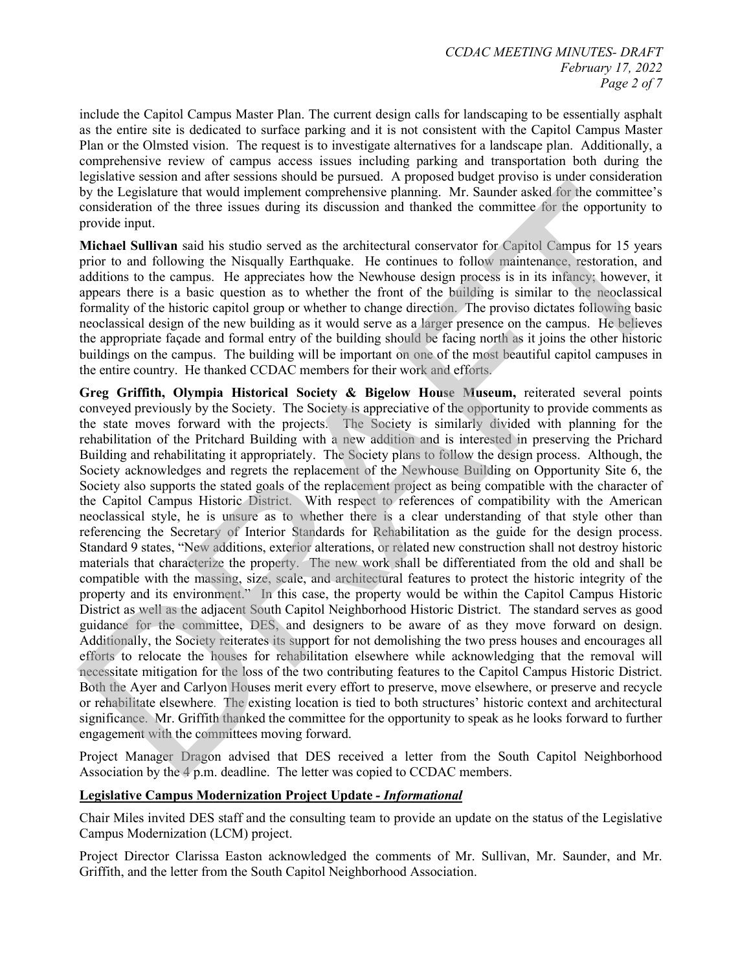include the Capitol Campus Master Plan. The current design calls for landscaping to be essentially asphalt as the entire site is dedicated to surface parking and it is not consistent with the Capitol Campus Master Plan or the Olmsted vision. The request is to investigate alternatives for a landscape plan. Additionally, a comprehensive review of campus access issues including parking and transportation both during the legislative session and after sessions should be pursued. A proposed budget proviso is under consideration by the Legislature that would implement comprehensive planning. Mr. Saunder asked for the committee's consideration of the three issues during its discussion and thanked the committee for the opportunity to provide input.

**Michael Sullivan** said his studio served as the architectural conservator for Capitol Campus for 15 years prior to and following the Nisqually Earthquake. He continues to follow maintenance, restoration, and additions to the campus. He appreciates how the Newhouse design process is in its infancy; however, it appears there is a basic question as to whether the front of the building is similar to the neoclassical formality of the historic capitol group or whether to change direction. The proviso dictates following basic neoclassical design of the new building as it would serve as a larger presence on the campus. He believes the appropriate façade and formal entry of the building should be facing north as it joins the other historic buildings on the campus. The building will be important on one of the most beautiful capitol campuses in the entire country. He thanked CCDAC members for their work and efforts.

**Greg Griffith, Olympia Historical Society & Bigelow House Museum,** reiterated several points conveyed previously by the Society. The Society is appreciative of the opportunity to provide comments as the state moves forward with the projects. The Society is similarly divided with planning for the rehabilitation of the Pritchard Building with a new addition and is interested in preserving the Prichard Building and rehabilitating it appropriately. The Society plans to follow the design process. Although, the Society acknowledges and regrets the replacement of the Newhouse Building on Opportunity Site 6, the Society also supports the stated goals of the replacement project as being compatible with the character of the Capitol Campus Historic District. With respect to references of compatibility with the American neoclassical style, he is unsure as to whether there is a clear understanding of that style other than referencing the Secretary of Interior Standards for Rehabilitation as the guide for the design process. Standard 9 states, "New additions, exterior alterations, or related new construction shall not destroy historic materials that characterize the property. The new work shall be differentiated from the old and shall be compatible with the massing, size, scale, and architectural features to protect the historic integrity of the property and its environment." In this case, the property would be within the Capitol Campus Historic District as well as the adjacent South Capitol Neighborhood Historic District. The standard serves as good guidance for the committee, DES, and designers to be aware of as they move forward on design. Additionally, the Society reiterates its support for not demolishing the two press houses and encourages all efforts to relocate the houses for rehabilitation elsewhere while acknowledging that the removal will necessitate mitigation for the loss of the two contributing features to the Capitol Campus Historic District. Both the Ayer and Carlyon Houses merit every effort to preserve, move elsewhere, or preserve and recycle or rehabilitate elsewhere. The existing location is tied to both structures' historic context and architectural significance. Mr. Griffith thanked the committee for the opportunity to speak as he looks forward to further engagement with the committees moving forward. by the I equidarne that would implement comprehensive planning. Mr. Sannder asked for the committee is one of the three issues during the discussion and thanked the committee of proper mixing the system and the second and

Project Manager Dragon advised that DES received a letter from the South Capitol Neighborhood Association by the 4 p.m. deadline. The letter was copied to CCDAC members.

# **Legislative Campus Modernization Project Update** *- Informational*

Chair Miles invited DES staff and the consulting team to provide an update on the status of the Legislative Campus Modernization (LCM) project.

Project Director Clarissa Easton acknowledged the comments of Mr. Sullivan, Mr. Saunder, and Mr. Griffith, and the letter from the South Capitol Neighborhood Association.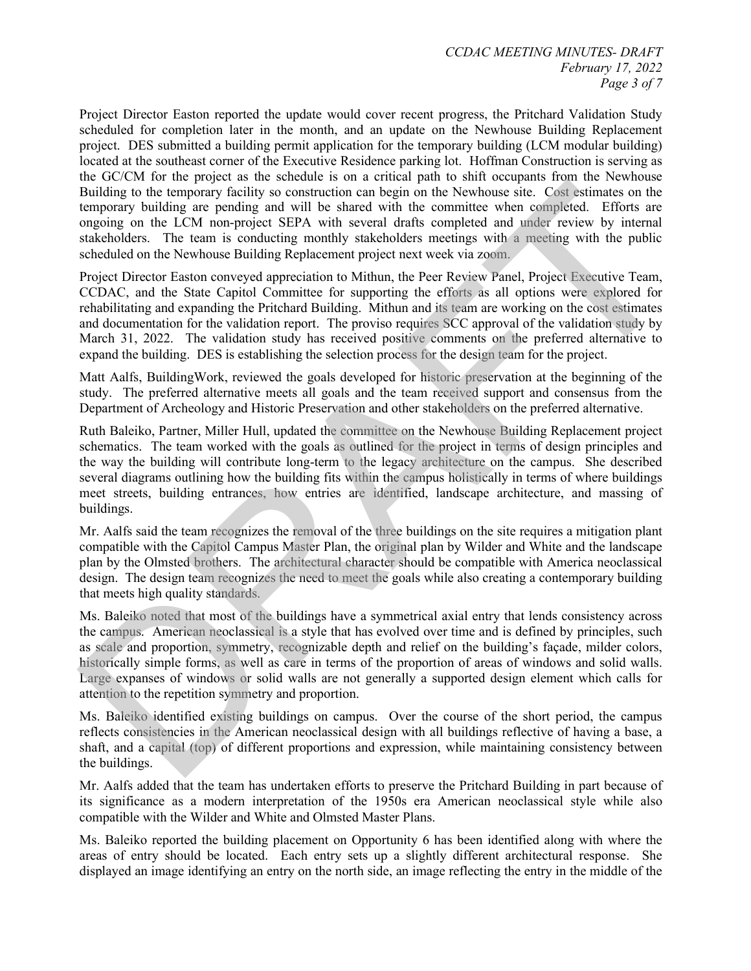Project Director Easton reported the update would cover recent progress, the Pritchard Validation Study scheduled for completion later in the month, and an update on the Newhouse Building Replacement project. DES submitted a building permit application for the temporary building (LCM modular building) located at the southeast corner of the Executive Residence parking lot. Hoffman Construction is serving as the GC/CM for the project as the schedule is on a critical path to shift occupants from the Newhouse Building to the temporary facility so construction can begin on the Newhouse site. Cost estimates on the temporary building are pending and will be shared with the committee when completed. Efforts are ongoing on the LCM non-project SEPA with several drafts completed and under review by internal stakeholders. The team is conducting monthly stakeholders meetings with a meeting with the public scheduled on the Newhouse Building Replacement project next week via zoom.

Project Director Easton conveyed appreciation to Mithun, the Peer Review Panel, Project Executive Team, CCDAC, and the State Capitol Committee for supporting the efforts as all options were explored for rehabilitating and expanding the Pritchard Building. Mithun and its team are working on the cost estimates and documentation for the validation report. The proviso requires SCC approval of the validation study by March 31, 2022. The validation study has received positive comments on the preferred alternative to expand the building. DES is establishing the selection process for the design team for the project.

Matt Aalfs, BuildingWork, reviewed the goals developed for historic preservation at the beginning of the study. The preferred alternative meets all goals and the team received support and consensus from the Department of Archeology and Historic Preservation and other stakeholders on the preferred alternative.

Ruth Baleiko, Partner, Miller Hull, updated the committee on the Newhouse Building Replacement project schematics. The team worked with the goals as outlined for the project in terms of design principles and the way the building will contribute long-term to the legacy architecture on the campus. She described several diagrams outlining how the building fits within the campus holistically in terms of where buildings meet streets, building entrances, how entries are identified, landscape architecture, and massing of buildings. Building on the temperay facility so contents on a hogein on the Newhouse time. Constantinuous contents and the temperature in the Newhorted contents of the studies of the studies of the State contents and the Constant of

Mr. Aalfs said the team recognizes the removal of the three buildings on the site requires a mitigation plant compatible with the Capitol Campus Master Plan, the original plan by Wilder and White and the landscape plan by the Olmsted brothers. The architectural character should be compatible with America neoclassical design. The design team recognizes the need to meet the goals while also creating a contemporary building that meets high quality standards.

Ms. Baleiko noted that most of the buildings have a symmetrical axial entry that lends consistency across the campus. American neoclassical is a style that has evolved over time and is defined by principles, such as scale and proportion, symmetry, recognizable depth and relief on the building's façade, milder colors, historically simple forms, as well as care in terms of the proportion of areas of windows and solid walls. Large expanses of windows or solid walls are not generally a supported design element which calls for attention to the repetition symmetry and proportion.

Ms. Baleiko identified existing buildings on campus. Over the course of the short period, the campus reflects consistencies in the American neoclassical design with all buildings reflective of having a base, a shaft, and a capital (top) of different proportions and expression, while maintaining consistency between the buildings.

Mr. Aalfs added that the team has undertaken efforts to preserve the Pritchard Building in part because of its significance as a modern interpretation of the 1950s era American neoclassical style while also compatible with the Wilder and White and Olmsted Master Plans.

Ms. Baleiko reported the building placement on Opportunity 6 has been identified along with where the areas of entry should be located. Each entry sets up a slightly different architectural response. She displayed an image identifying an entry on the north side, an image reflecting the entry in the middle of the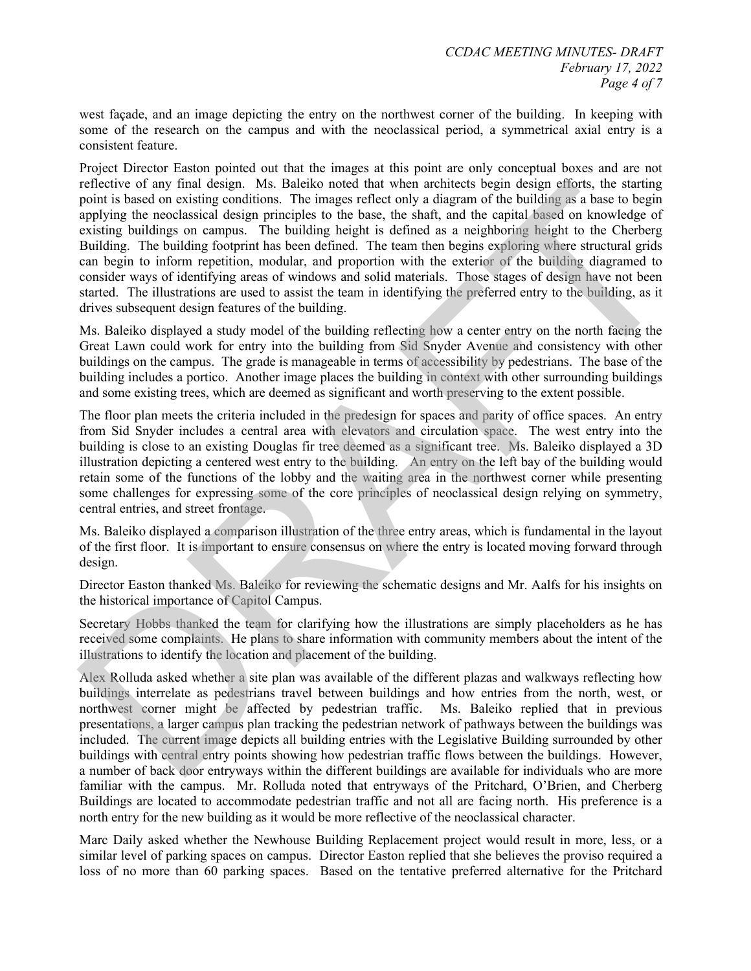west façade, and an image depicting the entry on the northwest corner of the building. In keeping with some of the research on the campus and with the neoclassical period, a symmetrical axial entry is a consistent feature.

Project Director Easton pointed out that the images at this point are only conceptual boxes and are not reflective of any final design. Ms. Baleiko noted that when architects begin design efforts, the starting point is based on existing conditions. The images reflect only a diagram of the building as a base to begin applying the neoclassical design principles to the base, the shaft, and the capital based on knowledge of existing buildings on campus. The building height is defined as a neighboring height to the Cherberg Building. The building footprint has been defined. The team then begins exploring where structural grids can begin to inform repetition, modular, and proportion with the exterior of the building diagramed to consider ways of identifying areas of windows and solid materials. Those stages of design have not been started. The illustrations are used to assist the team in identifying the preferred entry to the building, as it drives subsequent design features of the building. relative of any final design. Ms. Baleiko noted that when arehitects hogin design efforts, the starting<br>reputities based on existing conditions. The images reflect only a diagram of the building as a base to begin<br>applying

Ms. Baleiko displayed a study model of the building reflecting how a center entry on the north facing the Great Lawn could work for entry into the building from Sid Snyder Avenue and consistency with other buildings on the campus. The grade is manageable in terms of accessibility by pedestrians. The base of the building includes a portico. Another image places the building in context with other surrounding buildings and some existing trees, which are deemed as significant and worth preserving to the extent possible.

The floor plan meets the criteria included in the predesign for spaces and parity of office spaces. An entry from Sid Snyder includes a central area with elevators and circulation space. The west entry into the building is close to an existing Douglas fir tree deemed as a significant tree. Ms. Baleiko displayed a 3D illustration depicting a centered west entry to the building. An entry on the left bay of the building would retain some of the functions of the lobby and the waiting area in the northwest corner while presenting some challenges for expressing some of the core principles of neoclassical design relying on symmetry, central entries, and street frontage.

Ms. Baleiko displayed a comparison illustration of the three entry areas, which is fundamental in the layout of the first floor. It is important to ensure consensus on where the entry is located moving forward through design.

Director Easton thanked Ms. Baleiko for reviewing the schematic designs and Mr. Aalfs for his insights on the historical importance of Capitol Campus.

Secretary Hobbs thanked the team for clarifying how the illustrations are simply placeholders as he has received some complaints. He plans to share information with community members about the intent of the illustrations to identify the location and placement of the building.

Alex Rolluda asked whether a site plan was available of the different plazas and walkways reflecting how buildings interrelate as pedestrians travel between buildings and how entries from the north, west, or northwest corner might be affected by pedestrian traffic. Ms. Baleiko replied that in previous presentations, a larger campus plan tracking the pedestrian network of pathways between the buildings was included. The current image depicts all building entries with the Legislative Building surrounded by other buildings with central entry points showing how pedestrian traffic flows between the buildings. However, a number of back door entryways within the different buildings are available for individuals who are more familiar with the campus. Mr. Rolluda noted that entryways of the Pritchard, O'Brien, and Cherberg Buildings are located to accommodate pedestrian traffic and not all are facing north. His preference is a north entry for the new building as it would be more reflective of the neoclassical character.

Marc Daily asked whether the Newhouse Building Replacement project would result in more, less, or a similar level of parking spaces on campus. Director Easton replied that she believes the proviso required a loss of no more than 60 parking spaces. Based on the tentative preferred alternative for the Pritchard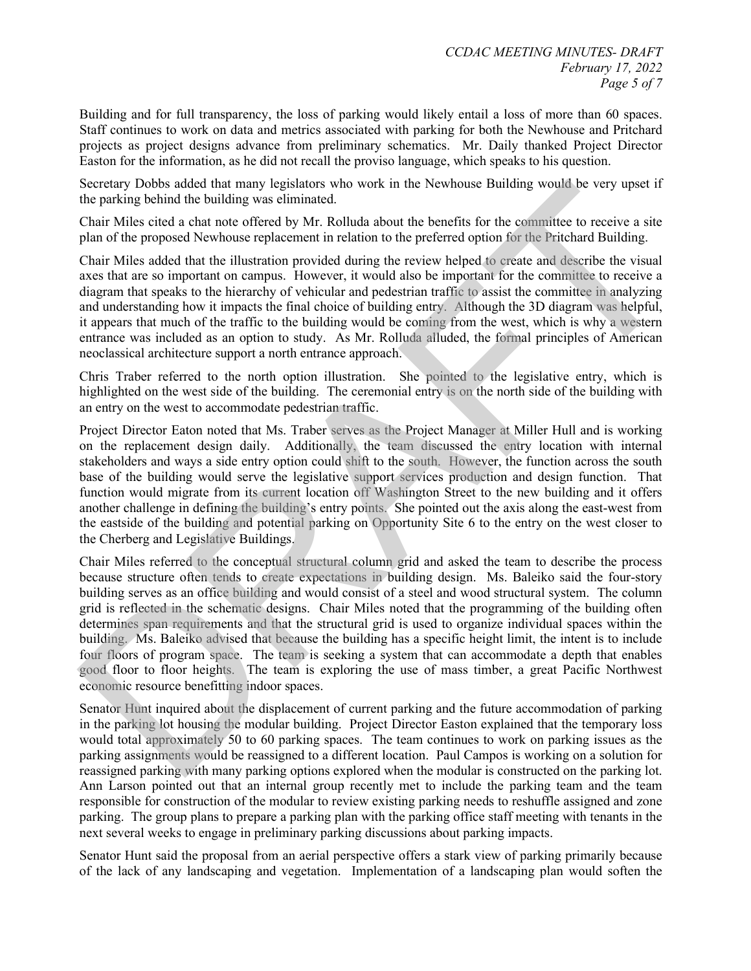Building and for full transparency, the loss of parking would likely entail a loss of more than 60 spaces. Staff continues to work on data and metrics associated with parking for both the Newhouse and Pritchard projects as project designs advance from preliminary schematics. Mr. Daily thanked Project Director Easton for the information, as he did not recall the proviso language, which speaks to his question.

Secretary Dobbs added that many legislators who work in the Newhouse Building would be very upset if the parking behind the building was eliminated.

Chair Miles cited a chat note offered by Mr. Rolluda about the benefits for the committee to receive a site plan of the proposed Newhouse replacement in relation to the preferred option for the Pritchard Building.

Chair Miles added that the illustration provided during the review helped to create and describe the visual axes that are so important on campus. However, it would also be important for the committee to receive a diagram that speaks to the hierarchy of vehicular and pedestrian traffic to assist the committee in analyzing and understanding how it impacts the final choice of building entry. Although the 3D diagram was helpful, it appears that much of the traffic to the building would be coming from the west, which is why a western entrance was included as an option to study. As Mr. Rolluda alluded, the formal principles of American neoclassical architecture support a north entrance approach.

Chris Traber referred to the north option illustration. She pointed to the legislative entry, which is highlighted on the west side of the building. The ceremonial entry is on the north side of the building with an entry on the west to accommodate pedestrian traffic.

Project Director Eaton noted that Ms. Traber serves as the Project Manager at Miller Hull and is working on the replacement design daily. Additionally, the team discussed the entry location with internal stakeholders and ways a side entry option could shift to the south. However, the function across the south base of the building would serve the legislative support services production and design function. That function would migrate from its current location off Washington Street to the new building and it offers another challenge in defining the building's entry points. She pointed out the axis along the east-west from the eastside of the building and potential parking on Opportunity Site 6 to the entry on the west closer to the Cherberg and Legislative Buildings.

Chair Miles referred to the conceptual structural column grid and asked the team to describe the process because structure often tends to create expectations in building design. Ms. Baleiko said the four-story building serves as an office building and would consist of a steel and wood structural system. The column grid is reflected in the schematic designs. Chair Miles noted that the programming of the building often determines span requirements and that the structural grid is used to organize individual spaces within the building. Ms. Baleiko advised that because the building has a specific height limit, the intent is to include four floors of program space. The team is seeking a system that can accommodate a depth that enables good floor to floor heights. The team is exploring the use of mass timber, a great Pacific Northwest economic resource benefitting indoor spaces. Secretary Dobbs added that many legislators who work in the Newhouse Building would be very upset if<br>Secretary Dobbs added that many legislators who work in the Newhouse Building would be very upset if<br>Chair Miles circle a

Senator Hunt inquired about the displacement of current parking and the future accommodation of parking in the parking lot housing the modular building. Project Director Easton explained that the temporary loss would total approximately 50 to 60 parking spaces. The team continues to work on parking issues as the parking assignments would be reassigned to a different location. Paul Campos is working on a solution for reassigned parking with many parking options explored when the modular is constructed on the parking lot. Ann Larson pointed out that an internal group recently met to include the parking team and the team responsible for construction of the modular to review existing parking needs to reshuffle assigned and zone parking. The group plans to prepare a parking plan with the parking office staff meeting with tenants in the next several weeks to engage in preliminary parking discussions about parking impacts.

Senator Hunt said the proposal from an aerial perspective offers a stark view of parking primarily because of the lack of any landscaping and vegetation. Implementation of a landscaping plan would soften the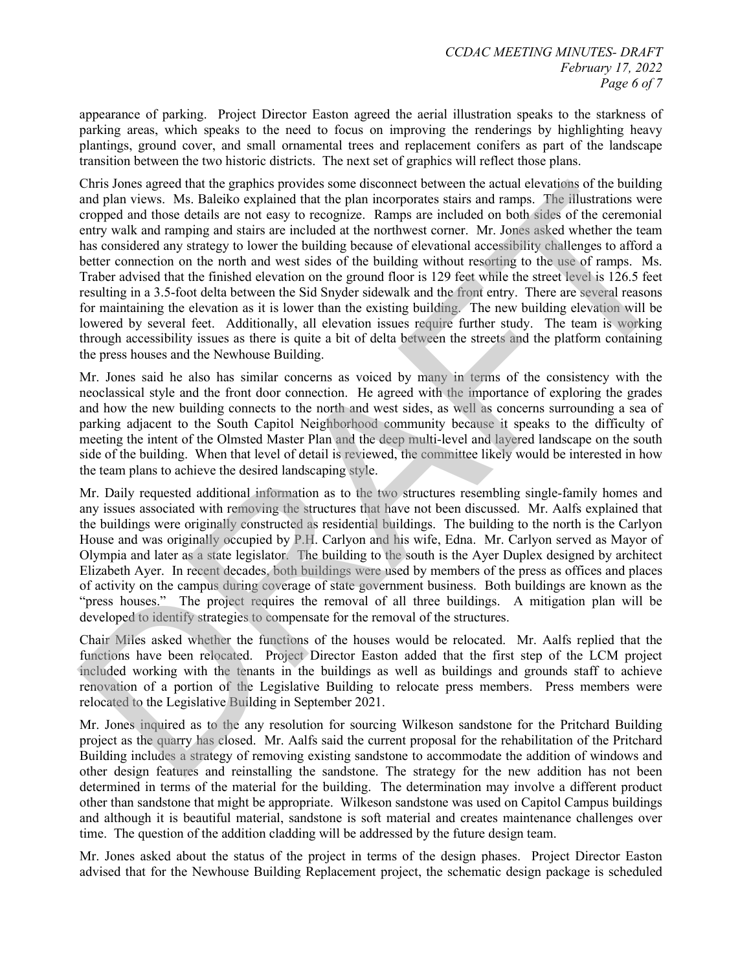appearance of parking. Project Director Easton agreed the aerial illustration speaks to the starkness of parking areas, which speaks to the need to focus on improving the renderings by highlighting heavy plantings, ground cover, and small ornamental trees and replacement conifers as part of the landscape transition between the two historic districts. The next set of graphics will reflect those plans.

Chris Jones agreed that the graphics provides some disconnect between the actual elevations of the building and plan views. Ms. Baleiko explained that the plan incorporates stairs and ramps. The illustrations were cropped and those details are not easy to recognize. Ramps are included on both sides of the ceremonial entry walk and ramping and stairs are included at the northwest corner. Mr. Jones asked whether the team has considered any strategy to lower the building because of elevational accessibility challenges to afford a better connection on the north and west sides of the building without resorting to the use of ramps. Ms. Traber advised that the finished elevation on the ground floor is 129 feet while the street level is 126.5 feet resulting in a 3.5-foot delta between the Sid Snyder sidewalk and the front entry. There are several reasons for maintaining the elevation as it is lower than the existing building. The new building elevation will be lowered by several feet. Additionally, all elevation issues require further study. The team is working through accessibility issues as there is quite a bit of delta between the streets and the platform containing the press houses and the Newhouse Building. Chris Jones agreed that the graphies provides some discounted between the actual elevations of the building<br>considerations were considered to the sylon increporates stairs and ranges. The illustrations were cropped and tho

Mr. Jones said he also has similar concerns as voiced by many in terms of the consistency with the neoclassical style and the front door connection. He agreed with the importance of exploring the grades and how the new building connects to the north and west sides, as well as concerns surrounding a sea of parking adjacent to the South Capitol Neighborhood community because it speaks to the difficulty of meeting the intent of the Olmsted Master Plan and the deep multi-level and layered landscape on the south side of the building. When that level of detail is reviewed, the committee likely would be interested in how the team plans to achieve the desired landscaping style.

Mr. Daily requested additional information as to the two structures resembling single-family homes and any issues associated with removing the structures that have not been discussed. Mr. Aalfs explained that the buildings were originally constructed as residential buildings. The building to the north is the Carlyon House and was originally occupied by P.H. Carlyon and his wife, Edna. Mr. Carlyon served as Mayor of Olympia and later as a state legislator. The building to the south is the Ayer Duplex designed by architect Elizabeth Ayer. In recent decades, both buildings were used by members of the press as offices and places of activity on the campus during coverage of state government business. Both buildings are known as the "press houses." The project requires the removal of all three buildings. A mitigation plan will be developed to identify strategies to compensate for the removal of the structures.

Chair Miles asked whether the functions of the houses would be relocated. Mr. Aalfs replied that the functions have been relocated. Project Director Easton added that the first step of the LCM project included working with the tenants in the buildings as well as buildings and grounds staff to achieve renovation of a portion of the Legislative Building to relocate press members. Press members were relocated to the Legislative Building in September 2021.

Mr. Jones inquired as to the any resolution for sourcing Wilkeson sandstone for the Pritchard Building project as the quarry has closed. Mr. Aalfs said the current proposal for the rehabilitation of the Pritchard Building includes a strategy of removing existing sandstone to accommodate the addition of windows and other design features and reinstalling the sandstone. The strategy for the new addition has not been determined in terms of the material for the building. The determination may involve a different product other than sandstone that might be appropriate. Wilkeson sandstone was used on Capitol Campus buildings and although it is beautiful material, sandstone is soft material and creates maintenance challenges over time. The question of the addition cladding will be addressed by the future design team.

Mr. Jones asked about the status of the project in terms of the design phases. Project Director Easton advised that for the Newhouse Building Replacement project, the schematic design package is scheduled